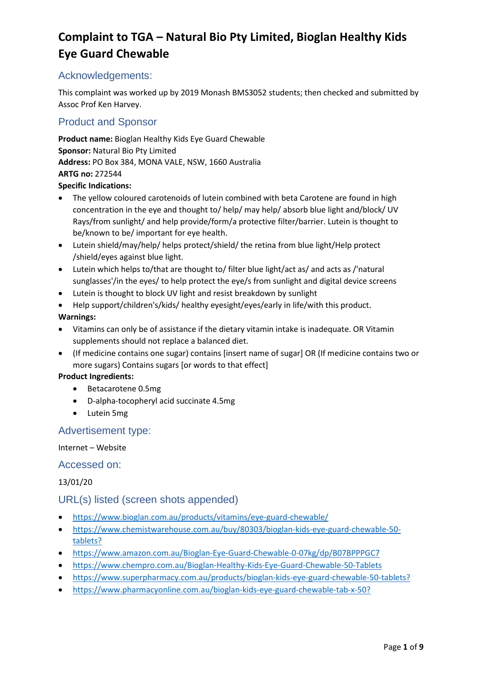### Acknowledgements:

This complaint was worked up by 2019 Monash BMS3052 students; then checked and submitted by Assoc Prof Ken Harvey.

### Product and Sponsor

**Product name:** Bioglan Healthy Kids Eye Guard Chewable **Sponsor:** Natural Bio Pty Limited **Address:** PO Box 384, MONA VALE, NSW, 1660 Australia **ARTG no:** 272544

#### **Specific Indications:**

- The yellow coloured carotenoids of lutein combined with beta Carotene are found in high concentration in the eye and thought to/ help/ may help/ absorb blue light and/block/ UV Rays/from sunlight/ and help provide/form/a protective filter/barrier. Lutein is thought to be/known to be/ important for eye health.
- Lutein shield/may/help/ helps protect/shield/ the retina from blue light/Help protect /shield/eyes against blue light.
- Lutein which helps to/that are thought to/ filter blue light/act as/ and acts as /'natural sunglasses'/in the eyes/ to help protect the eye/s from sunlight and digital device screens
- Lutein is thought to block UV light and resist breakdown by sunlight
- Help support/children's/kids/ healthy eyesight/eyes/early in life/with this product.

### **Warnings:**

- Vitamins can only be of assistance if the dietary vitamin intake is inadequate. OR Vitamin supplements should not replace a balanced diet.
- (If medicine contains one sugar) contains [insert name of sugar] OR (If medicine contains two or more sugars) Contains sugars [or words to that effect]

#### **Product Ingredients:**

- Betacarotene 0.5mg
- D-alpha-tocopheryl acid succinate 4.5mg
- Lutein 5mg

### Advertisement type:

### Internet – Website

### Accessed on:

### 13/01/20

### URL(s) listed (screen shots appended)

- <https://www.bioglan.com.au/products/vitamins/eye-guard-chewable/>
- [https://www.chemistwarehouse.com.au/buy/80303/bioglan-kids-eye-guard-chewable-50](https://www.chemistwarehouse.com.au/buy/80303/bioglan-kids-eye-guard-chewable-50-tablets?gclid=CjwKCAiApOvwBRBUEiwAcZGdGPKeMwFiPv0q-y-guHptjwYxhOADKaY3d3Jrd1gUnWwJOtF27TTU1RoCCHAQAvD_BwE&gclsrc=aw.ds) [tablets?](https://www.chemistwarehouse.com.au/buy/80303/bioglan-kids-eye-guard-chewable-50-tablets?gclid=CjwKCAiApOvwBRBUEiwAcZGdGPKeMwFiPv0q-y-guHptjwYxhOADKaY3d3Jrd1gUnWwJOtF27TTU1RoCCHAQAvD_BwE&gclsrc=aw.ds)
- <https://www.amazon.com.au/Bioglan-Eye-Guard-Chewable-0-07kg/dp/B07BPPPGC7>
- <https://www.chempro.com.au/Bioglan-Healthy-Kids-Eye-Guard-Chewable-50-Tablets>
- [https://www.superpharmacy.com.au/products/bioglan-kids-eye-guard-chewable-50-tablets?](https://www.superpharmacy.com.au/products/bioglan-kids-eye-guard-chewable-50-tablets?gclid=CjwKCAiApOvwBRBUEiwAcZGdGJPbP6CtYhvlJm903TbobyuxZPz4aNJAScUjwnv-aEJmvembyav9txoClvUQAvD_BwE)
- [https://www.pharmacyonline.com.au/bioglan-kids-eye-guard-chewable-tab-x-50?](https://www.pharmacyonline.com.au/bioglan-kids-eye-guard-chewable-tab-x-50?gclid=CjwKCAiApOvwBRBUEiwAcZGdGCEjP0bEeuSUyt73CMAq0DV6bA8U6a63d_4XtbHv6Fmlvmb7uv1vSBoCshkQAvD_BwE)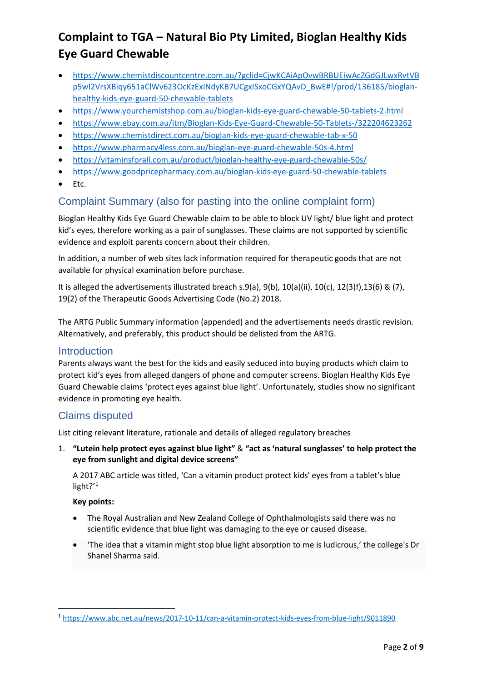- [https://www.chemistdiscountcentre.com.au/?gclid=CjwKCAiApOvwBRBUEiwAcZGdGJLwxRvtVB](https://www.chemistdiscountcentre.com.au/?gclid=CjwKCAiApOvwBRBUEiwAcZGdGJLwxRvtVBp5wl2VrsXBiqy651aClWv623OcKzExINdyKB7UCgxISxoCGxYQAvD_BwE#!/prod/136185/bioglan-healthy-kids-eye-guard-50-chewable-tablets) [p5wl2VrsXBiqy651aClWv623OcKzExINdyKB7UCgxISxoCGxYQAvD\\_BwE#!/prod/136185/bioglan](https://www.chemistdiscountcentre.com.au/?gclid=CjwKCAiApOvwBRBUEiwAcZGdGJLwxRvtVBp5wl2VrsXBiqy651aClWv623OcKzExINdyKB7UCgxISxoCGxYQAvD_BwE#!/prod/136185/bioglan-healthy-kids-eye-guard-50-chewable-tablets)[healthy-kids-eye-guard-50-chewable-tablets](https://www.chemistdiscountcentre.com.au/?gclid=CjwKCAiApOvwBRBUEiwAcZGdGJLwxRvtVBp5wl2VrsXBiqy651aClWv623OcKzExINdyKB7UCgxISxoCGxYQAvD_BwE#!/prod/136185/bioglan-healthy-kids-eye-guard-50-chewable-tablets)
- <https://www.yourchemistshop.com.au/bioglan-kids-eye-guard-chewable-50-tablets-2.html>
- <https://www.ebay.com.au/itm/Bioglan-Kids-Eye-Guard-Chewable-50-Tablets-/322204623262>
- <https://www.chemistdirect.com.au/bioglan-kids-eye-guard-chewable-tab-x-50>
- <https://www.pharmacy4less.com.au/bioglan-eye-guard-chewable-50s-4.html>
- <https://vitaminsforall.com.au/product/bioglan-healthy-eye-guard-chewable-50s/>
- <https://www.goodpricepharmacy.com.au/bioglan-kids-eye-guard-50-chewable-tablets>
- Etc.

### Complaint Summary (also for pasting into the online complaint form)

Bioglan Healthy Kids Eye Guard Chewable claim to be able to block UV light/ blue light and protect kid's eyes, therefore working as a pair of sunglasses. These claims are not supported by scientific evidence and exploit parents concern about their children.

In addition, a number of web sites lack information required for therapeutic goods that are not available for physical examination before purchase.

It is alleged the advertisements illustrated breach s.9(a), 9(b), 10(a)(ii), 10(c), 12(3)f),13(6) & (7), 19(2) of the Therapeutic Goods Advertising Code (No.2) 2018.

The ARTG Public Summary information (appended) and the advertisements needs drastic revision. Alternatively, and preferably, this product should be delisted from the ARTG.

### **Introduction**

Parents always want the best for the kids and easily seduced into buying products which claim to protect kid's eyes from alleged dangers of phone and computer screens. Bioglan Healthy Kids Eye Guard Chewable claims 'protect eyes against blue light'. Unfortunately, studies show no significant evidence in promoting eye health.

### Claims disputed

List citing relevant literature, rationale and details of alleged regulatory breaches

1. **"Lutein help protect eyes against blue light"** & **"act as 'natural sunglasses' to help protect the eye from sunlight and digital device screens"**

A 2017 ABC article was titled, 'Can a vitamin product protect kids' eyes from a tablet's blue light?'<sup>[1](#page-1-0)</sup>

#### **Key points:**

- The Royal Australian and New Zealand College of Ophthalmologists said there was no scientific evidence that blue light was damaging to the eye or caused disease.
- 'The idea that a vitamin might stop blue light absorption to me is ludicrous,' the college's Dr Shanel Sharma said.

<span id="page-1-0"></span><sup>1</sup> <https://www.abc.net.au/news/2017-10-11/can-a-vitamin-protect-kids-eyes-from-blue-light/9011890>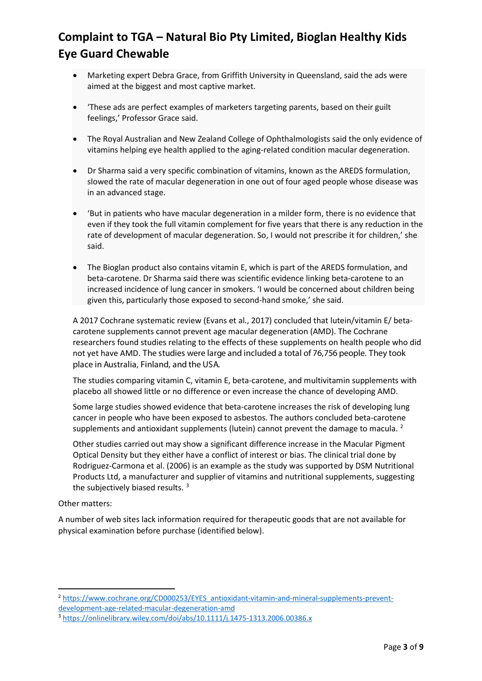- Marketing expert Debra Grace, from Griffith University in Queensland, said the ads were aimed at the biggest and most captive market.
- 'These ads are perfect examples of marketers targeting parents, based on their guilt feelings,' Professor Grace said.
- The Royal Australian and New Zealand College of Ophthalmologists said the only evidence of vitamins helping eye health applied to the aging-related condition macular degeneration.
- Dr Sharma said a very specific combination of vitamins, known as the AREDS formulation, slowed the rate of macular degeneration in one out of four aged people whose disease was in an advanced stage.
- 'But in patients who have macular degeneration in a milder form, there is no evidence that even if they took the full vitamin complement for five years that there is any reduction in the rate of development of macular degeneration. So, I would not prescribe it for children,' she said.
- The Bioglan product also contains vitamin E, which is part of the AREDS formulation, and beta-carotene. Dr Sharma said there was scientific evidence linking beta-carotene to an increased incidence of lung cancer in smokers. 'I would be concerned about children being given this, particularly those exposed to second-hand smoke,' she said.

A 2017 Cochrane systematic review (Evans et al., 2017) concluded that lutein/vitamin E/ betacarotene supplements cannot prevent age macular degeneration (AMD). The Cochrane researchers found studies relating to the effects of these supplements on health people who did not yet have AMD. The studies were large and included a total of 76,756 people. They took place in Australia, Finland, and the USA.

The studies comparing vitamin C, vitamin E, beta-carotene, and multivitamin supplements with placebo all showed little or no difference or even increase the chance of developing AMD.

Some large studies showed evidence that beta-carotene increases the risk of developing lung cancer in people who have been exposed to asbestos. The authors concluded beta-carotene supplements and antioxidant supplements (lutein) cannot prevent the damage to macula. <sup>[2](#page-2-0)</sup>

Other studies carried out may show a significant difference increase in the Macular Pigment Optical Density but they either have a conflict of interest or bias. The clinical trial done by Rodriguez-Carmona et al. (2006) is an example as the study was supported by DSM Nutritional Products Ltd, a manufacturer and supplier of vitamins and nutritional supplements, suggesting the subjectively biased results. [3](#page-2-1)

#### Other matters:

A number of web sites lack information required for therapeutic goods that are not available for physical examination before purchase (identified below).

<span id="page-2-0"></span><sup>2</sup> [https://www.cochrane.org/CD000253/EYES\\_antioxidant-vitamin-and-mineral-supplements-prevent](https://www.cochrane.org/CD000253/EYES_antioxidant-vitamin-and-mineral-supplements-prevent-development-age-related-macular-degeneration-amd)[development-age-related-macular-degeneration-amd](https://www.cochrane.org/CD000253/EYES_antioxidant-vitamin-and-mineral-supplements-prevent-development-age-related-macular-degeneration-amd)

<span id="page-2-1"></span><sup>3</sup> <https://onlinelibrary.wiley.com/doi/abs/10.1111/j.1475-1313.2006.00386.x>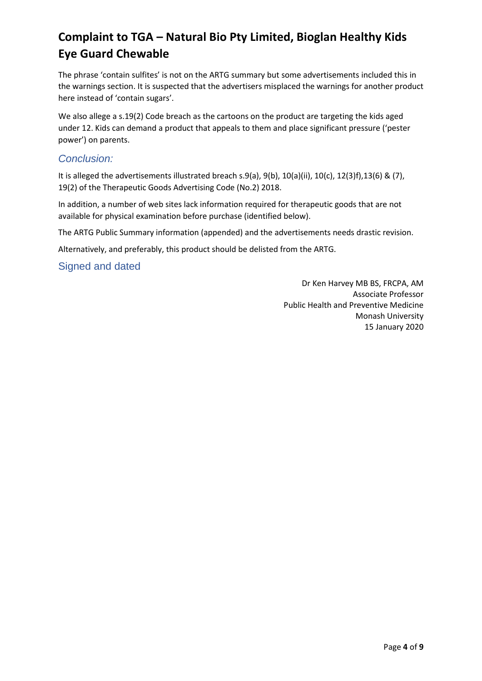The phrase 'contain sulfites' is not on the ARTG summary but some advertisements included this in the warnings section. It is suspected that the advertisers misplaced the warnings for another product here instead of 'contain sugars'.

We also allege a s.19(2) Code breach as the cartoons on the product are targeting the kids aged under 12. Kids can demand a product that appeals to them and place significant pressure ('pester power') on parents.

### *Conclusion:*

It is alleged the advertisements illustrated breach s.9(a), 9(b), 10(a)(ii), 10(c), 12(3)f),13(6) & (7), 19(2) of the Therapeutic Goods Advertising Code (No.2) 2018.

In addition, a number of web sites lack information required for therapeutic goods that are not available for physical examination before purchase (identified below).

The ARTG Public Summary information (appended) and the advertisements needs drastic revision.

Alternatively, and preferably, this product should be delisted from the ARTG.

Signed and dated

Dr Ken Harvey MB BS, FRCPA, AM Associate Professor Public Health and Preventive Medicine Monash University 15 January 2020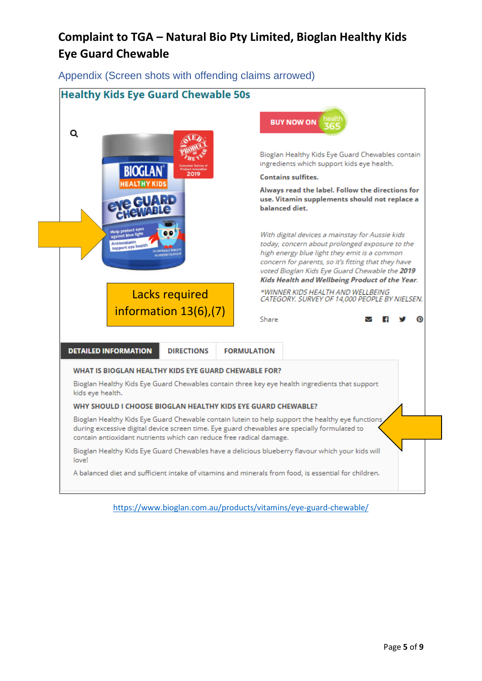Appendix (Screen shots with offending claims arrowed)



<https://www.bioglan.com.au/products/vitamins/eye-guard-chewable/>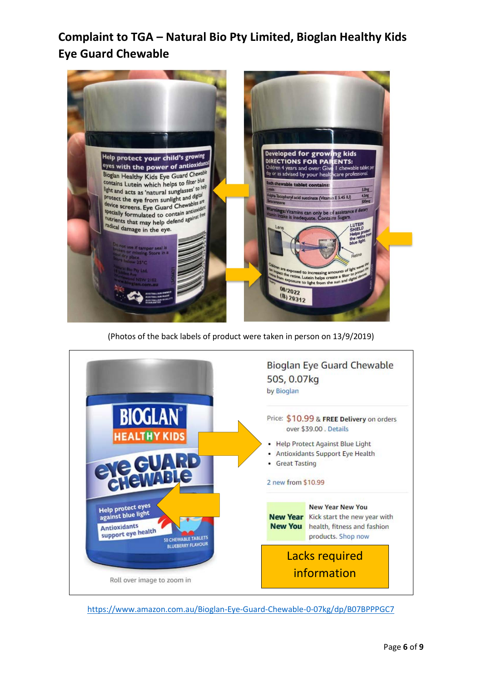

(Photos of the back labels of product were taken in person on 13/9/2019)



<https://www.amazon.com.au/Bioglan-Eye-Guard-Chewable-0-07kg/dp/B07BPPPGC7>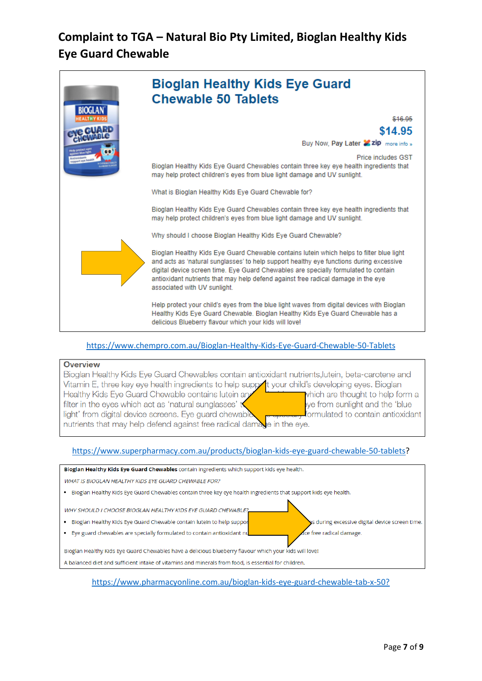

#### <https://www.chempro.com.au/Bioglan-Healthy-Kids-Eye-Guard-Chewable-50-Tablets>

#### **Overview**

| Bioglan Healthy Kids Eye Guard Chewables contain antioxidant nutrients, lutein, beta-carotene and        |                                  |
|----------------------------------------------------------------------------------------------------------|----------------------------------|
| Vitamin E, three key eye health ingredients to help support your child's developing eyes. Bioglan        |                                  |
| Healthy Kids Eye Guard Chewable contains lutein and                                                      | which are thought to help form a |
| filter in the eyes which act as 'natural sunglasses' $t$                                                 | ye from sunlight and the 'blue   |
| light' from digital device screens. Eye guard chewable <b>produced</b> formulated to contain antioxidant |                                  |
| nutrients that may help defend against free radical damage in the eye.                                   |                                  |

#### [https://www.superpharmacy.com.au/products/bioglan-kids-eye-guard-chewable-50-tablets?](https://www.superpharmacy.com.au/products/bioglan-kids-eye-guard-chewable-50-tablets)



[https://www.pharmacyonline.com.au/bioglan-kids-eye-guard-chewable-tab-x-50?](https://www.pharmacyonline.com.au/bioglan-kids-eye-guard-chewable-tab-x-50?gclid=CjwKCAiApOvwBRBUEiwAcZGdGCEjP0bEeuSUyt73CMAq0DV6bA8U6a63d_4XtbHv6Fmlvmb7uv1vSBoCshkQAvD_BwE)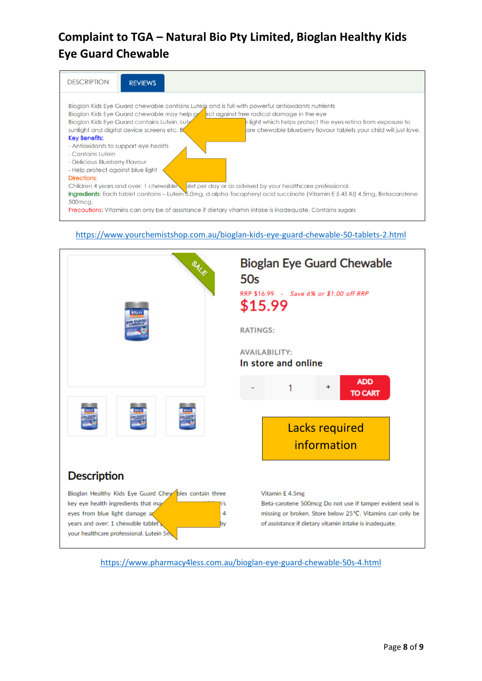

# <https://www.yourchemistshop.com.au/bioglan-kids-eye-guard-chewable-50-tablets-2.html>



<https://www.pharmacy4less.com.au/bioglan-eye-guard-chewable-50s-4.html>